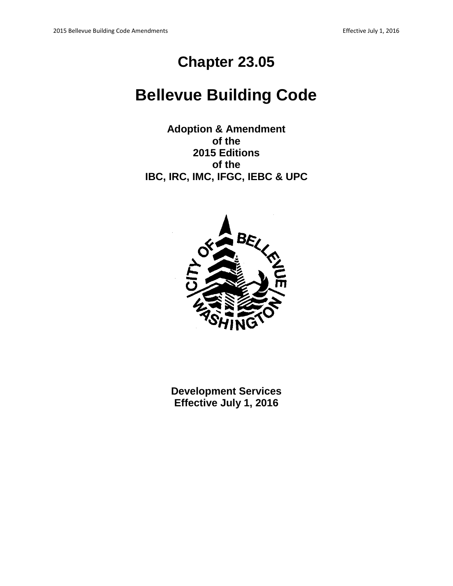# **Chapter 23.05**

# **Bellevue Building Code**

**Adoption & Amendment of the 2015 Editions of the IBC, IRC, IMC, IFGC, IEBC & UPC**



**Development Services Effective July 1, 2016**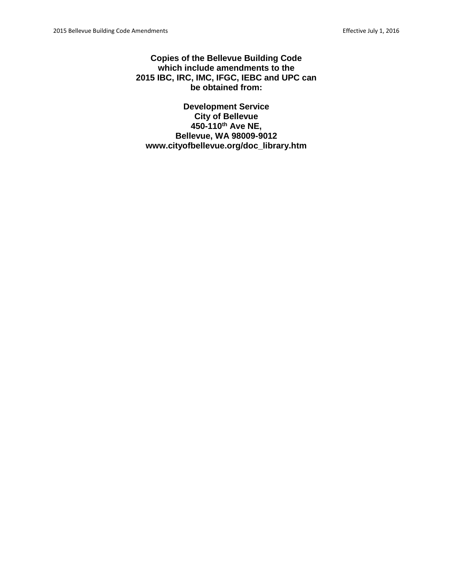**Copies of the Bellevue Building Code which include amendments to the 2015 IBC, IRC, IMC, IFGC, IEBC and UPC can be obtained from:**

**Development Service City of Bellevue 450-110th Ave NE, Bellevue, WA 98009-9012 www.cityofbellevue.org/doc\_library.htm**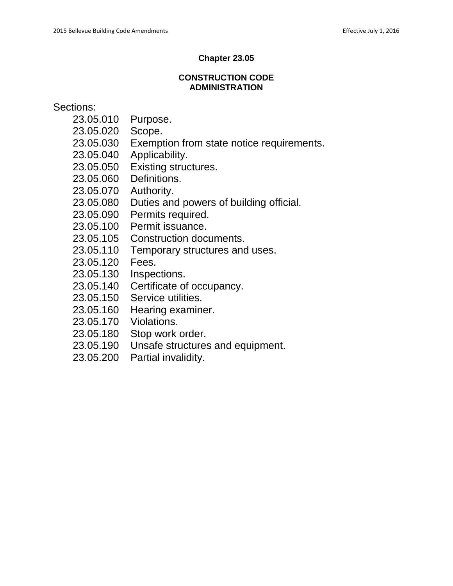# **Chapter 23.05**

# **CONSTRUCTION CODE ADMINISTRATION**

Sections:

- 23.05.010 Purpose.
- 23.05.020 Scope.
- 23.05.030 Exemption from state notice requirements.
- 23.05.040 Applicability.
- 23.05.050 Existing structures.
- 23.05.060 Definitions.
- 23.05.070 Authority.
- 23.05.080 Duties and powers of building official.
- 23.05.090 Permits required.
- 23.05.100 Permit issuance.
- 23.05.105 Construction documents.
- 23.05.110 Temporary structures and uses.
- 23.05.120 Fees.
- 23.05.130 Inspections.
- 23.05.140 Certificate of occupancy.
- 23.05.150 Service utilities.
- 23.05.160 Hearing examiner.
- 23.05.170 Violations.
- 23.05.180 Stop work order.
- 23.05.190 Unsafe structures and equipment.
- 23.05.200 Partial invalidity.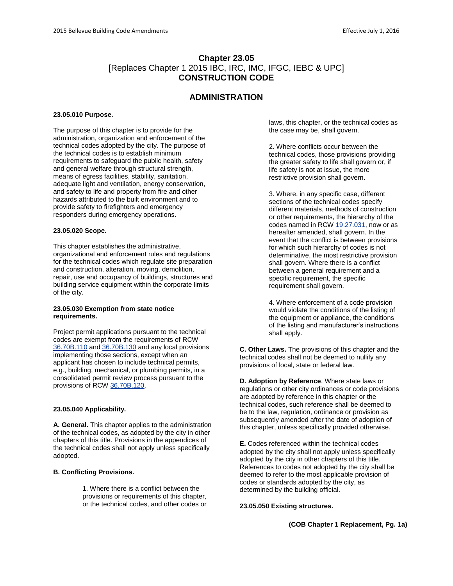# **Chapter 23.05** [Replaces Chapter 1 2015 IBC, IRC, IMC, IFGC, IEBC & UPC] **CONSTRUCTION CODE**

# **ADMINISTRATION**

#### **23.05.010 Purpose.**

The purpose of this chapter is to provide for the administration, organization and enforcement of the technical codes adopted by the city. The purpose of the technical codes is to establish minimum requirements to safeguard the public health, safety and general welfare through structural strength, means of egress facilities, stability, sanitation, adequate light and ventilation, energy conservation, and safety to life and property from fire and other hazards attributed to the built environment and to provide safety to firefighters and emergency responders during emergency operations.

#### **23.05.020 Scope.**

This chapter establishes the administrative, organizational and enforcement rules and regulations for the technical codes which regulate site preparation and construction, alteration, moving, demolition, repair, use and occupancy of buildings, structures and building service equipment within the corporate limits of the city.

#### **23.05.030 Exemption from state notice requirements.**

Project permit applications pursuant to the technical codes are exempt from the requirements of RCW [36.70B.110](http://www.codepublishing.com/cgi-bin/rcw.pl?cite=36.70B.110) and [36.70B.130](http://www.codepublishing.com/cgi-bin/rcw.pl?cite=36.70B.130) and any local provisions implementing those sections, except when an applicant has chosen to include technical permits, e.g., building, mechanical, or plumbing permits, in a consolidated permit review process pursuant to the provisions of RCW [36.70B.120.](http://www.codepublishing.com/cgi-bin/rcw.pl?cite=36.70B.120)

#### **23.05.040 Applicability.**

**A. General.** This chapter applies to the administration of the technical codes, as adopted by the city in other chapters of this title. Provisions in the appendices of the technical codes shall not apply unless specifically adopted.

#### **B. Conflicting Provisions.**

1. Where there is a conflict between the provisions or requirements of this chapter, or the technical codes, and other codes or laws, this chapter, or the technical codes as the case may be, shall govern.

2. Where conflicts occur between the technical codes, those provisions providing the greater safety to life shall govern or, if life safety is not at issue, the more restrictive provision shall govern.

3. Where, in any specific case, different sections of the technical codes specify different materials, methods of construction or other requirements, the hierarchy of the codes named in RC[W 19.27.031,](http://www.codepublishing.com/cgi-bin/rcw.pl?cite=19.27.031) now or as hereafter amended, shall govern. In the event that the conflict is between provisions for which such hierarchy of codes is not determinative, the most restrictive provision shall govern. Where there is a conflict between a general requirement and a specific requirement, the specific requirement shall govern.

4. Where enforcement of a code provision would violate the conditions of the listing of the equipment or appliance, the conditions of the listing and manufacturer's instructions shall apply.

**C. Other Laws.** The provisions of this chapter and the technical codes shall not be deemed to nullify any provisions of local, state or federal law.

**D. Adoption by Reference**. Where state laws or regulations or other city ordinances or code provisions are adopted by reference in this chapter or the technical codes, such reference shall be deemed to be to the law, regulation, ordinance or provision as subsequently amended after the date of adoption of this chapter, unless specifically provided otherwise.

**E.** Codes referenced within the technical codes adopted by the city shall not apply unless specifically adopted by the city in other chapters of this title. References to codes not adopted by the city shall be deemed to refer to the most applicable provision of codes or standards adopted by the city, as determined by the building official.

#### **23.05.050 Existing structures.**

**(COB Chapter 1 Replacement, Pg. 1a)**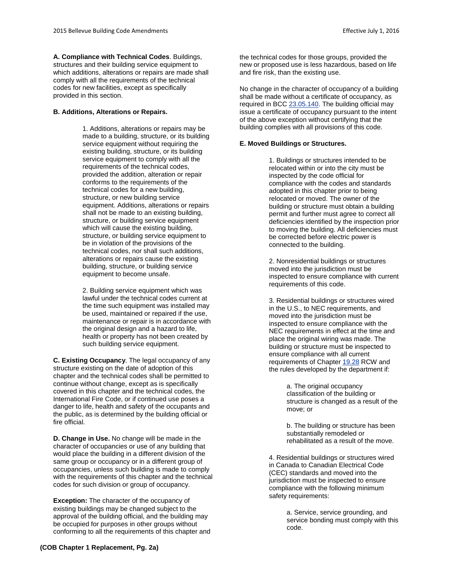**A. Compliance with Technical Codes**. Buildings,

structures and their building service equipment to which additions, alterations or repairs are made shall comply with all the requirements of the technical codes for new facilities, except as specifically provided in this section.

## **B. Additions, Alterations or Repairs.**

1. Additions, alterations or repairs may be made to a building, structure, or its building service equipment without requiring the existing building, structure, or its building service equipment to comply with all the requirements of the technical codes, provided the addition, alteration or repair conforms to the requirements of the technical codes for a new building, structure, or new building service equipment. Additions, alterations or repairs shall not be made to an existing building, structure, or building service equipment which will cause the existing building, structure, or building service equipment to be in violation of the provisions of the technical codes, nor shall such additions, alterations or repairs cause the existing building, structure, or building service equipment to become unsafe.

2. Building service equipment which was lawful under the technical codes current at the time such equipment was installed may be used, maintained or repaired if the use, maintenance or repair is in accordance with the original design and a hazard to life, health or property has not been created by such building service equipment.

**C. Existing Occupancy**. The legal occupancy of any structure existing on the date of adoption of this chapter and the technical codes shall be permitted to continue without change, except as is specifically covered in this chapter and the technical codes, the International Fire Code, or if continued use poses a danger to life, health and safety of the occupants and the public, as is determined by the building official or fire official.

**D. Change in Use.** No change will be made in the character of occupancies or use of any building that would place the building in a different division of the same group or occupancy or in a different group of occupancies, unless such building is made to comply with the requirements of this chapter and the technical codes for such division or group of occupancy.

**Exception:** The character of the occupancy of existing buildings may be changed subject to the approval of the building official, and the building may be occupied for purposes in other groups without conforming to all the requirements of this chapter and

No change in the character of occupancy of a building shall be made without a certificate of occupancy, as required in BC[C 23.05.140.](http://www.codepublishing.com/wa/bellevue/html/Bellevue23/Bellevue2305.html#23.05.140) The building official may issue a certificate of occupancy pursuant to the intent of the above exception without certifying that the building complies with all provisions of this code.

## **E. Moved Buildings or Structures.**

1. Buildings or structures intended to be relocated within or into the city must be inspected by the code official for compliance with the codes and standards adopted in this chapter prior to being relocated or moved. The owner of the building or structure must obtain a building permit and further must agree to correct all deficiencies identified by the inspection prior to moving the building. All deficiencies must be corrected before electric power is connected to the building.

2. Nonresidential buildings or structures moved into the jurisdiction must be inspected to ensure compliance with current requirements of this code.

3. Residential buildings or structures wired in the U.S., to NEC requirements, and moved into the jurisdiction must be inspected to ensure compliance with the NEC requirements in effect at the time and place the original wiring was made. The building or structure must be inspected to ensure compliance with all current requirements of Chapter [19.28](http://www.codepublishing.com/cgi-bin/rcw.pl?cite=19.28) RCW and the rules developed by the department if:

> a. The original occupancy classification of the building or structure is changed as a result of the move; or

b. The building or structure has been substantially remodeled or rehabilitated as a result of the move.

4. Residential buildings or structures wired in Canada to Canadian Electrical Code (CEC) standards and moved into the jurisdiction must be inspected to ensure compliance with the following minimum safety requirements:

> a. Service, service grounding, and service bonding must comply with this code.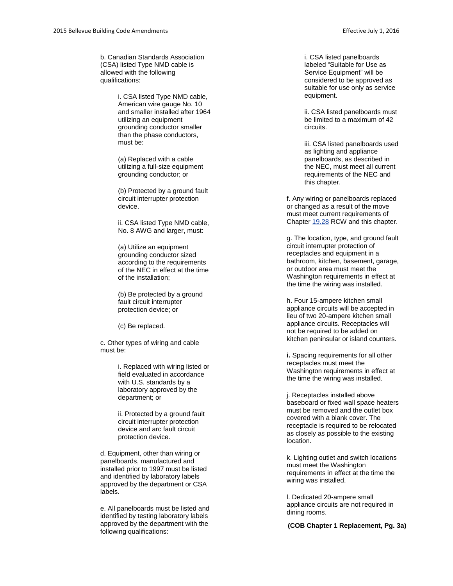b. Canadian Standards Association (CSA) listed Type NMD cable is allowed with the following qualifications:

> i. CSA listed Type NMD cable, American wire gauge No. 10 and smaller installed after 1964 utilizing an equipment grounding conductor smaller than the phase conductors, must be:

(a) Replaced with a cable utilizing a full -size equipment grounding conductor; or (b) Protected by a ground fault

circuit interrupter protection device.

ii. CSA listed Type NMD cable, No. 8 AWG and larger, must:

(a ) Utilize an equipment grounding conductor sized according to the requirements of the NEC in effect at the time of the installation;

(b) Be protected by a ground fault circuit interrupter protection device; or

(c) Be replaced.

c. Other types of wiring and cable must be:

> i. Replaced with wiring listed or field evaluated in accordance with U.S. standards by a laboratory approved by the department; or

ii. Protected by a ground fault circuit interrupter protection device and arc fault circuit protection device.

d. Equipment, other than wiring or panelboards, manufactured and installed prior to 1997 must be listed and identified by laboratory labels approved by the department or CSA labels.

e. All panelboards must be listed and identified by testing laboratory labels approved by the department with the following qualifications:

i. CSA listed panelboards labeled "Suitable for Use as Service Equipment" will be considered to be approved as suitable for use only as service equipment.

ii. CSA listed panelboards must be limited to a maximum of 42 circuits.

iii. CSA listed panelboards used as lighting and appliance panelboards, as described in the NEC, must meet all current requirements of the NEC and this chapter.

f. Any wiring or panelboards replaced or changed as a result of the move must meet current requirements of Chapter [19.28](http://www.codepublishing.com/cgi-bin/rcw.pl?cite=19.28) RCW and this chapter.

g. The location, type, and ground fault circuit interrupter protection of receptacles and equipment in a bathroom, kitchen, basement, garage, or outdoor area must meet the Washington requirements in effect at the time the wiring was installed.

h. Four 15 -ampere kitchen small appliance circuits will be accepted in lieu of two 20 -ampere kitchen small appliance circuits. Receptacles will not be required to be added on kitchen peninsular or island counters.

**i.** Spacing requirements for all other receptacles must meet the Washington requirements in effect at the time the wiring was installed.

j. Receptacles installed above baseboard or fixed wall space heaters must be removed and the outlet box covered with a blank cover. The receptacle is required to be relocated as closely as possible to the existing location.

k. Lighting outlet and switch locations must meet the Washington requirements in effect at the time the wiring was installed.

l. Dedicated 20 -ampere small appliance circuits are not required in dining rooms.

**(COB Chapter 1 Replacement, Pg. 3a)**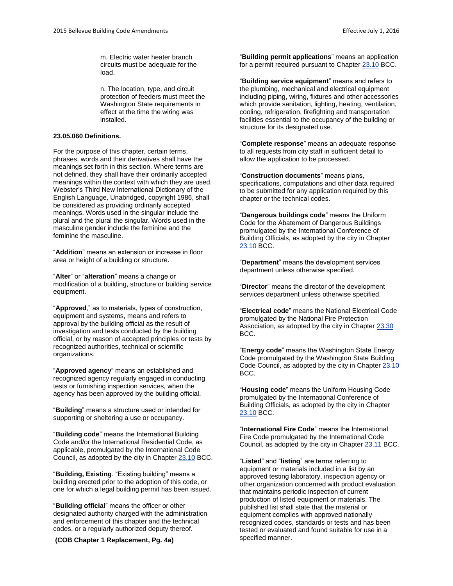m. Electric water heater branch circuits must be adequate for the load.

n. The location, type, and circuit protection of feeders must meet the Washington State requirements in effect at the time the wiring was installed.

#### **23.05.060 Definitions.**

For the purpose of this chapter, certain terms, phrases, words and their derivatives shall have the meanings set forth in this section. Where terms are not defined, they shall have their ordinarily accepted meanings within the context with which they are used. Webster's Third New International Dictionary of the English Language, Unabridged, copyright 1986, shall be considered as providing ordinarily accepted meanings. Words used in the singular include the plural and the plural the singular. Words used in the masculine gender include the feminine and the feminine the masculine.

"**Addition**" means an extension or increase in floor area or height of a building or structure.

"**Alter**" or "**alteration**" means a change or modification of a building, structure or building service equipment.

"**Approved**," as to materials, types of construction, equipment and systems, means and refers to approval by the building official as the result of investigation and tests conducted by the building official, or by reason of accepted principles or tests by recognized authorities, technical or scientific organizations.

"**Approved agency**" means an established and recognized agency regularly engaged in conducting tests or furnishing inspection services, when the agency has been approved by the building official.

"**Building**" means a structure used or intended for supporting or sheltering a use or occupancy.

"**Building code**" means the International Building Code and/or the International Residential Code, as applicable, promulgated by the International Code Council, as adopted by the city in Chapter [23.10](http://www.codepublishing.com/wa/bellevue/html/Bellevue23/Bellevue2310.html#23.10) BCC.

"**Building, Existing**. "Existing building" means a building erected prior to the adoption of this code, or one for which a legal building permit has been issued.

"**Building official**" means the officer or other designated authority charged with the administration and enforcement of this chapter and the technical codes, or a regularly authorized deputy thereof.

specified manner. **(COB Chapter 1 Replacement, Pg. 4a)**

"**Building permit applications**" means an application for a permit required pursuant to Chapte[r 23.10](http://www.codepublishing.com/wa/bellevue/html/Bellevue23/Bellevue2310.html#23.10) BCC.

"**Building service equipment**" means and refers to the plumbing, mechanical and electrical equipment including piping, wiring, fixtures and other accessories which provide sanitation, lighting, heating, ventilation, cooling, refrigeration, firefighting and transportation facilities essential to the occupancy of the building or structure for its designated use.

"**Complete response**" means an adequate response to all requests from city staff in sufficient detail to allow the application to be processed.

"**Construction documents**" means plans, specifications, computations and other data required to be submitted for any application required by this chapter or the technical codes.

"**Dangerous buildings code**" means the Uniform Code for the Abatement of Dangerous Buildings promulgated by the International Conference of Building Officials, as adopted by the city in Chapter [23.10](http://www.codepublishing.com/wa/bellevue/html/Bellevue23/Bellevue2310.html#23.10) BCC.

"**Department**" means the development services department unless otherwise specified.

"**Director**" means the director of the development services department unless otherwise specified.

"**Electrical code**" means the National Electrical Code promulgated by the National Fire Protection Association, as adopted by the city in Chapter [23.30](http://www.codepublishing.com/wa/bellevue/html/Bellevue23/Bellevue2330.html#23.30) BCC.

"**Energy code**" means the Washington State Energy Code promulgated by the Washington State Building Code Council, as adopted by the city in Chapter [23.10](http://www.codepublishing.com/wa/bellevue/html/Bellevue23/Bellevue2310.html#23.10) BCC.

"**Housing code**" means the Uniform Housing Code promulgated by the International Conference of Building Officials, as adopted by the city in Chapter [23.10](http://www.codepublishing.com/wa/bellevue/html/Bellevue23/Bellevue2310.html#23.10) BCC.

"**International Fire Code**" means the International Fire Code promulgated by the International Code Council, as adopted by the city in Chapter [23.11](http://www.codepublishing.com/wa/bellevue/html/Bellevue23/Bellevue2311.html#23.11) BCC.

"**Listed**" and "**listing**" are terms referring to equipment or materials included in a list by an approved testing laboratory, inspection agency or other organization concerned with product evaluation that maintains periodic inspection of current production of listed equipment or materials. The published list shall state that the material or equipment complies with approved nationally recognized codes, standards or tests and has been tested or evaluated and found suitable for use in a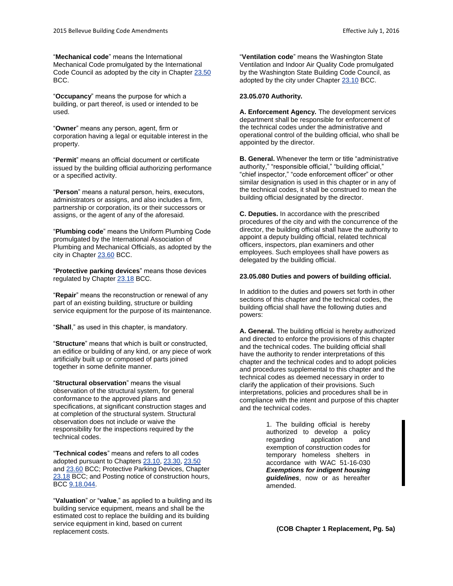"**Mechanical code**" means the International Mechanical Code promulgated by the International Code Council as adopted by the city in Chapte[r 23.50](http://www.codepublishing.com/wa/bellevue/html/Bellevue23/Bellevue2350.html#23.50) BCC.

"**Occupancy**" means the purpose for which a building, or part thereof, is used or intended to be used.

"**Owner**" means any person, agent, firm or corporation having a legal or equitable interest in the property.

"**Permit**" means an official document or certificate issued by the building official authorizing performance or a specified activity.

"**Person**" means a natural person, heirs, executors, administrators or assigns, and also includes a firm, partnership or corporation, its or their successors or assigns, or the agent of any of the aforesaid.

"**Plumbing code**" means the Uniform Plumbing Code promulgated by the International Association of Plumbing and Mechanical Officials, as adopted by the city in Chapter [23.60](http://www.codepublishing.com/wa/bellevue/html/Bellevue23/Bellevue2360.html#23.60) BCC.

"**Protective parking devices**" means those devices regulated by Chapte[r 23.18](http://www.codepublishing.com/wa/bellevue/html/Bellevue23/Bellevue2318.html#23.18) BCC.

"**Repair**" means the reconstruction or renewal of any part of an existing building, structure or building service equipment for the purpose of its maintenance.

"**Shall**," as used in this chapter, is mandatory.

"**Structure**" means that which is built or constructed, an edifice or building of any kind, or any piece of work artificially built up or composed of parts joined together in some definite manner.

"**Structural observation**" means the visual observation of the structural system, for general conformance to the approved plans and specifications, at significant construction stages and at completion of the structural system. Structural observation does not include or waive the responsibility for the inspections required by the technical codes.

"**Technical codes**" means and refers to all codes adopted pursuant to Chapter[s 23.10,](http://www.codepublishing.com/wa/bellevue/html/Bellevue23/Bellevue2310.html#23.10) [23.30,](http://www.codepublishing.com/wa/bellevue/html/Bellevue23/Bellevue2330.html#23.30) [23.50](http://www.codepublishing.com/wa/bellevue/html/Bellevue23/Bellevue2350.html#23.50) an[d 23.60](http://www.codepublishing.com/wa/bellevue/html/Bellevue23/Bellevue2360.html#23.60) BCC; Protective Parking Devices, Chapter [23.18](http://www.codepublishing.com/wa/bellevue/html/Bellevue23/Bellevue2318.html#23.18) BCC; and Posting notice of construction hours, BC[C 9.18.044.](http://www.codepublishing.com/wa/bellevue/html/Bellevue09/Bellevue0918.html#9.18.044)

"**Valuation**" or "**value**," as applied to a building and its building service equipment, means and shall be the estimated cost to replace the building and its building service equipment in kind, based on current replacement costs.

"**Ventilation code**" means the Washington State Ventilation and Indoor Air Quality Code promulgated by the Washington State Building Code Council, as adopted by the city under Chapter [23.10](http://www.codepublishing.com/wa/bellevue/html/Bellevue23/Bellevue2310.html#23.10) BCC.

#### **23.05.070 Authority.**

**A. Enforcement Agency.** The development services department shall be responsible for enforcement of the technical codes under the administrative and operational control of the building official, who shall be appointed by the director.

**B. General.** Whenever the term or title "administrative authority," "responsible official," "building official," "chief inspector," "code enforcement officer" or other similar designation is used in this chapter or in any of the technical codes, it shall be construed to mean the building official designated by the director.

**C. Deputies.** In accordance with the prescribed procedures of the city and with the concurrence of the director, the building official shall have the authority to appoint a deputy building official, related technical officers, inspectors, plan examiners and other employees. Such employees shall have powers as delegated by the building official.

#### **23.05.080 Duties and powers of building official.**

In addition to the duties and powers set forth in other sections of this chapter and the technical codes, the building official shall have the following duties and powers:

**A. General.** The building official is hereby authorized and directed to enforce the provisions of this chapter and the technical codes. The building official shall have the authority to render interpretations of this chapter and the technical codes and to adopt policies and procedures supplemental to this chapter and the technical codes as deemed necessary in order to clarify the application of their provisions. Such interpretations, policies and procedures shall be in compliance with the intent and purpose of this chapter and the technical codes.

> 1. The building official is hereby authorized to develop a policy regarding application and exemption of construction codes for temporary homeless shelters in accordance with WAC 51-16-030 *Exemptions for indigent housing guidelines*, now or as hereafter amended.

**(COB Chapter 1 Replacement, Pg. 5a)**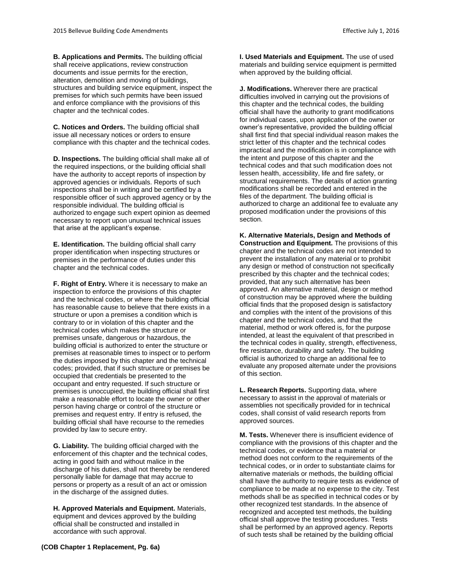**B. Applications and Permits.** The building official shall receive applications, review construction documents and issue permits for the erection, alteration, demolition and moving of buildings, structures and building service equipment, inspect the premises for which such permits have been issued and enforce compliance with the provisions of this chapter and the technical codes.

**C. Notices and Orders.** The building official shall issue all necessary notices or orders to ensure compliance with this chapter and the technical codes.

**D. Inspections.** The building official shall make all of the required inspections, or the building official shall have the authority to accept reports of inspection by approved agencies or individuals. Reports of such inspections shall be in writing and be certified by a responsible officer of such approved agency or by the responsible individual. The building official is authorized to engage such expert opinion as deemed necessary to report upon unusual technical issues that arise at the applicant's expense.

**E. Identification.** The building official shall carry proper identification when inspecting structures or premises in the performance of duties under this chapter and the technical codes.

**F. Right of Entry.** Where it is necessary to make an inspection to enforce the provisions of this chapter and the technical codes, or where the building official has reasonable cause to believe that there exists in a structure or upon a premises a condition which is contrary to or in violation of this chapter and the technical codes which makes the structure or premises unsafe, dangerous or hazardous, the building official is authorized to enter the structure or premises at reasonable times to inspect or to perform the duties imposed by this chapter and the technical codes; provided, that if such structure or premises be occupied that credentials be presented to the occupant and entry requested. If such structure or premises is unoccupied, the building official shall first make a reasonable effort to locate the owner or other person having charge or control of the structure or premises and request entry. If entry is refused, the building official shall have recourse to the remedies provided by law to secure entry.

**G. Liability.** The building official charged with the enforcement of this chapter and the technical codes, acting in good faith and without malice in the discharge of his duties, shall not thereby be rendered personally liable for damage that may accrue to persons or property as a result of an act or omission in the discharge of the assigned duties.

**H. Approved Materials and Equipment.** Materials, equipment and devices approved by the building official shall be constructed and installed in accordance with such approval.

**(COB Chapter 1 Replacement, Pg. 6a)**

**I. Used Materials and Equipment.** The use of used materials and building service equipment is permitted when approved by the building official.

**J. Modifications.** Wherever there are practical difficulties involved in carrying out the provisions of this chapter and the technical codes, the building official shall have the authority to grant modifications for individual cases, upon application of the owner or owner's representative, provided the building official shall first find that special individual reason makes the strict letter of this chapter and the technical codes impractical and the modification is in compliance with the intent and purpose of this chapter and the technical codes and that such modification does not lessen health, accessibility, life and fire safety, or structural requirements. The details of action granting modifications shall be recorded and entered in the files of the department. The building official is authorized to charge an additional fee to evaluate any proposed modification under the provisions of this section.

**K. Alternative Materials, Design and Methods of Construction and Equipment.** The provisions of this chapter and the technical codes are not intended to prevent the installation of any material or to prohibit any design or method of construction not specifically prescribed by this chapter and the technical codes; provided, that any such alternative has been approved. An alternative material, design or method of construction may be approved where the building official finds that the proposed design is satisfactory and complies with the intent of the provisions of this chapter and the technical codes, and that the material, method or work offered is, for the purpose intended, at least the equivalent of that prescribed in the technical codes in quality, strength, effectiveness, fire resistance, durability and safety. The building official is authorized to charge an additional fee to evaluate any proposed alternate under the provisions of this section.

**L. Research Reports.** Supporting data, where necessary to assist in the approval of materials or assemblies not specifically provided for in technical codes, shall consist of valid research reports from approved sources.

**M. Tests.** Whenever there is insufficient evidence of compliance with the provisions of this chapter and the technical codes, or evidence that a material or method does not conform to the requirements of the technical codes, or in order to substantiate claims for alternative materials or methods, the building official shall have the authority to require tests as evidence of compliance to be made at no expense to the city. Test methods shall be as specified in technical codes or by other recognized test standards. In the absence of recognized and accepted test methods, the building official shall approve the testing procedures. Tests shall be performed by an approved agency. Reports of such tests shall be retained by the building official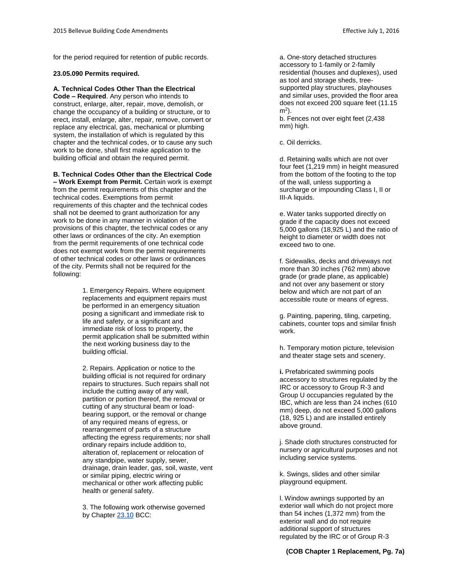for the period required for retention of public records.

#### **23.05.090 Permits required.**

**A. Technical Codes Other Than the Electrical Code – Required**. Any person who intends to construct, enlarge, alter, repair, move, demolish, or change the occupancy of a building or structure, or to erect, install, enlarge, alter, repair, remove, convert or replace any electrical, gas, mechanical or plumbing system, the installation of which is regulated by this chapter and the technical codes, or to cause any such work to be done, shall first make application to the building official and obtain the required permit.

**B. Technical Codes Other than the Electrical Code** 

**– Work Exempt from Permit.** Certain work is exempt from the permit requirements of this chapter and the technical codes. Exemptions from permit requirements of this chapter and the technical codes shall not be deemed to grant authorization for any work to be done in any manner in violation of the provisions of this chapter, the technical codes or any other laws or ordinances of the city. An exemption from the permit requirements of one technical code does not exempt work from the permit requirements of other technical codes or other laws or ordinances of the city. Permits shall not be required for the following:

> 1. Emergency Repairs. Where equipment replacements and equipment repairs must be performed in an emergency situation posing a significant and immediate risk to life and safety, or a significant and immediate risk of loss to property, the permit application shall be submitted within the next working business day to the building official.

2. Repairs. Application or notice to the building official is not required for ordinary repairs to structures. Such repairs shall not include the cutting away of any wall, partition or portion thereof, the removal or cutting of any structural beam or loadbearing support, or the removal or change of any required means of egress, or rearrangement of parts of a structure affecting the egress requirements; nor shall ordinary repairs include addition to, alteration of, replacement or relocation of any standpipe, water supply, sewer, drainage, drain leader, gas, soil, waste, vent or similar piping, electric wiring or mechanical or other work affecting public health or general safety.

3. The following work otherwise governed by Chapter [23.10](http://www.codepublishing.com/wa/bellevue/html/Bellevue23/Bellevue2310.html#23.10) BCC:

a. One-story detached structures accessory to 1-family or 2-family residential (houses and duplexes), used as tool and storage sheds, treesupported play structures, playhouses and similar uses, provided the floor area does not exceed 200 square feet (11.15 m<sup>2</sup> ).

b. Fences not over eight feet (2,438 mm) high.

c. Oil derricks.

d. Retaining walls which are not over four feet (1,219 mm) in height measured from the bottom of the footing to the top of the wall, unless supporting a surcharge or impounding Class I, II or III-A liquids.

e. Water tanks supported directly on grade if the capacity does not exceed 5,000 gallons (18,925 L) and the ratio of height to diameter or width does not exceed two to one.

f. Sidewalks, decks and driveways not more than 30 inches (762 mm) above grade (or grade plane, as applicable) and not over any basement or story below and which are not part of an accessible route or means of egress.

g. Painting, papering, tiling, carpeting, cabinets, counter tops and similar finish work.

h. Temporary motion picture, television and theater stage sets and scenery.

**i.** Prefabricated swimming pools accessory to structures regulated by the IRC or accessory to Group R-3 and Group U occupancies regulated by the IBC, which are less than 24 inches (610 mm) deep, do not exceed 5,000 gallons (18, 925 L) and are installed entirely above ground.

j. Shade cloth structures constructed for nursery or agricultural purposes and not including service systems.

k. Swings, slides and other similar playground equipment.

l. Window awnings supported by an exterior wall which do not project more than 54 inches (1,372 mm) from the exterior wall and do not require additional support of structures regulated by the IRC or of Group R-3

#### **(COB Chapter 1 Replacement, Pg. 7a)**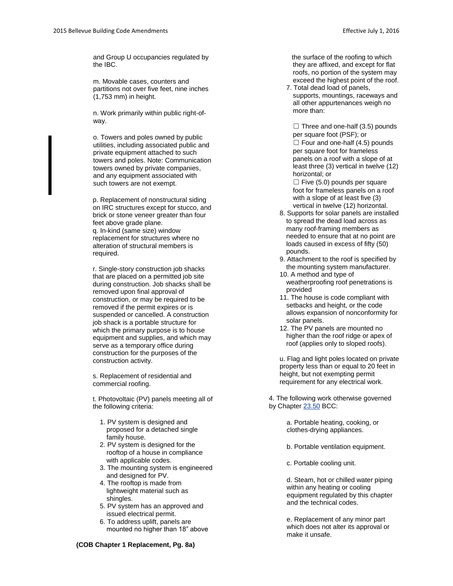and Group U occupancies regulated by the IBC.

m. Movable cases, counters and partitions not over five feet, nine inches (1,753 mm) in height.

n. Work primarily within public right-ofway.

o. Towers and poles owned by public utilities, including associated public and private equipment attached to such towers and poles. Note: Communication towers owned by private companies, and any equipment associated with such towers are not exempt.

p. Replacement of nonstructural siding on IRC structures except for stucco, and brick or stone veneer greater than four feet above grade plane. q. In-kind (same size) window replacement for structures where no alteration of structural members is required.

r. Single-story construction job shacks that are placed on a permitted job site during construction. Job shacks shall be removed upon final approval of construction, or may be required to be removed if the permit expires or is suspended or cancelled. A construction job shack is a portable structure for which the primary purpose is to house equipment and supplies, and which may serve as a temporary office during construction for the purposes of the construction activity.

s. Replacement of residential and commercial roofing.

t. Photovoltaic (PV) panels meeting all of the following criteria:

- 1. PV system is designed and proposed for a detached single family house.
- 2. PV system is designed for the rooftop of a house in compliance with applicable codes.
- 3. The mounting system is engineered and designed for PV.
- 4. The rooftop is made from lightweight material such as shingles.
- 5. PV system has an approved and issued electrical permit.
- 6. To address uplift, panels are mounted no higher than 18" above

 the surface of the roofing to which they are affixed, and except for flat roofs, no portion of the system may exceed the highest point of the roof.

7. Total dead load of panels, supports, mountings, raceways and all other appurtenances weigh no more than:

 $\Box$  Three and one-half (3.5) pounds per square foot (PSF); or  $\Box$  Four and one-half (4.5) pounds per square foot for frameless panels on a roof with a slope of at least three (3) vertical in twelve (12) horizontal; or

 $\Box$  Five (5.0) pounds per square foot for frameless panels on a roof with a slope of at least five (3) vertical in twelve (12) horizontal.

- 8. Supports for solar panels are installed to spread the dead load across as many roof-framing members as needed to ensure that at no point are loads caused in excess of fifty (50) pounds.
- 9. Attachment to the roof is specified by the mounting system manufacturer.
- 10. A method and type of weatherproofing roof penetrations is provided
- 11. The house is code compliant with setbacks and height, or the code allows expansion of nonconformity for solar panels.
- 12. The PV panels are mounted no higher than the roof ridge or apex of roof (applies only to sloped roofs).

u. Flag and light poles located on private property less than or equal to 20 feet in height, but not exempting permit requirement for any electrical work.

4. The following work otherwise governed by Chapter [23.50](http://www.codepublishing.com/wa/bellevue/html/Bellevue23/Bellevue2350.html#23.50) BCC:

> a. Portable heating, cooking, or clothes-drying appliances.

b. Portable ventilation equipment.

c. Portable cooling unit.

d. Steam, hot or chilled water piping within any heating or cooling equipment regulated by this chapter and the technical codes.

e. Replacement of any minor part which does not alter its approval or make it unsafe.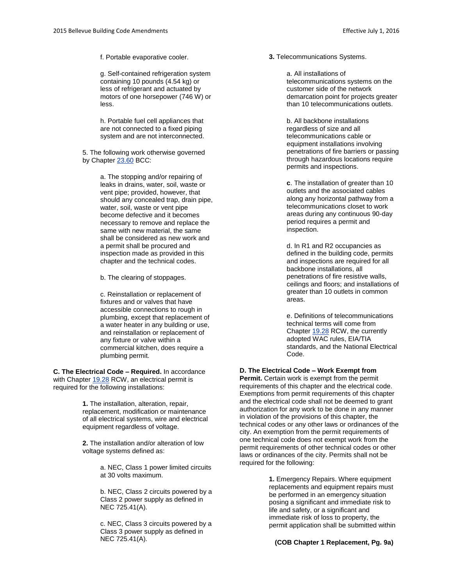f. Portable evaporative cooler.

g. Self-contained refrigeration system containing 10 pounds (4.54 kg) or less of refrigerant and actuated by motors of one horsepower (746 W) or less.

h. Portable fuel cell appliances that are not connected to a fixed piping system and are not interconnected.

5. The following work otherwise governed by Chapter [23.60](http://www.codepublishing.com/wa/bellevue/html/Bellevue23/Bellevue2360.html#23.60) BCC:

> a. The stopping and/or repairing of leaks in drains, water, soil, waste or vent pipe; provided, however, that should any concealed trap, drain pipe, water, soil, waste or vent pipe become defective and it becomes necessary to remove and replace the same with new material, the same shall be considered as new work and a permit shall be procured and inspection made as provided in this chapter and the technical codes.

b. The clearing of stoppages.

c. Reinstallation or replacement of fixtures and or valves that have accessible connections to rough in plumbing, except that replacement of a water heater in any building or use, and reinstallation or replacement of any fixture or valve within a commercial kitchen, does require a plumbing permit.

**C. The Electrical Code – Required.** In accordance with Chapter [19.28](http://www.codepublishing.com/cgi-bin/rcw.pl?cite=19.28) RCW, an electrical permit is required for the following installations:

> **1.** The installation, alteration, repair, replacement, modification or maintenance of all electrical systems, wire and electrical equipment regardless of voltage.

**2.** The installation and/or alteration of low voltage systems defined as:

> a. NEC, Class 1 power limited circuits at 30 volts maximum.

> b. NEC, Class 2 circuits powered by a Class 2 power supply as defined in NEC 725.41(A).

> c. NEC, Class 3 circuits powered by a Class 3 power supply as defined in NEC 725.41(A).

#### **3.** Telecommunications Systems.

a. All installations of telecommunications systems on the customer side of the network demarcation point for projects greater than 10 telecommunications outlets.

b. All backbone installations regardless of size and all telecommunications cable or equipment installations involving penetrations of fire barriers or passing through hazardous locations require permits and inspections.

**c**. The installation of greater than 10 outlets and the associated cables along any horizontal pathway from a telecommunications closet to work areas during any continuous 90-day period requires a permit and inspection.

d. In R1 and R2 occupancies as defined in the building code, permits and inspections are required for all backbone installations, all penetrations of fire resistive walls, ceilings and floors; and installations of greater than 10 outlets in common areas.

e. Definitions of telecommunications technical terms will come from Chapter [19.28](http://www.codepublishing.com/cgi-bin/rcw.pl?cite=19.28) RCW, the currently adopted WAC rules, EIA/TIA standards, and the National Electrical Code.

### **D. The Electrical Code – Work Exempt from**

**Permit.** Certain work is exempt from the permit requirements of this chapter and the electrical code. Exemptions from permit requirements of this chapter and the electrical code shall not be deemed to grant authorization for any work to be done in any manner in violation of the provisions of this chapter, the technical codes or any other laws or ordinances of the city. An exemption from the permit requirements of one technical code does not exempt work from the permit requirements of other technical codes or other laws or ordinances of the city. Permits shall not be required for the following:

> **1.** Emergency Repairs. Where equipment replacements and equipment repairs must be performed in an emergency situation posing a significant and immediate risk to life and safety, or a significant and immediate risk of loss to property, the permit application shall be submitted within

**(COB Chapter 1 Replacement, Pg. 9a)**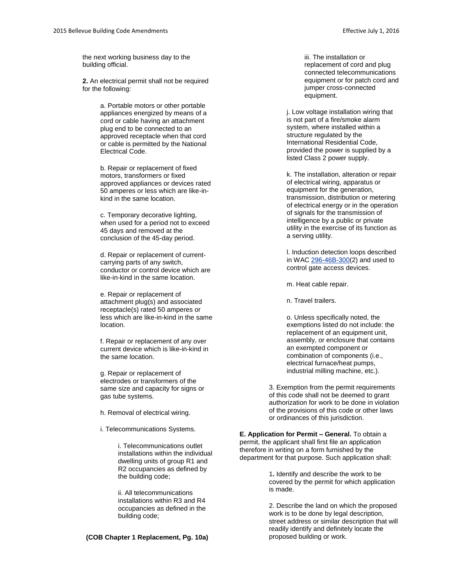the next working business day to the building official.

**2.** An electrical permit shall not be required for the following:

> a. Portable motors or other portable appliances energized by means of a cord or cable having an attachment plug end to be connected to an approved receptacle when that cord or cable is permitted by the National Electrical Code.

b. Repair or replacement of fixed motors, transformers or fixed approved appliances or devices rated 50 amperes or less which are like-inkind in the same location.

c. Temporary decorative lighting, when used for a period not to exceed 45 days and removed at the conclusion of the 45-day period.

d. Repair or replacement of currentcarrying parts of any switch, conductor or control device which are like-in-kind in the same location.

e. Repair or replacement of attachment plug(s) and associated receptacle(s) rated 50 amperes or less which are like-in-kind in the same location.

f. Repair or replacement of any over current device which is like-in-kind in the same location.

g. Repair or replacement of electrodes or transformers of the same size and capacity for signs or gas tube systems.

h. Removal of electrical wiring.

i. Telecommunications Systems.

i. Telecommunications outlet installations within the individual dwelling units of group R1 and R2 occupancies as defined by the building code;

ii. All telecommunications installations within R3 and R4 occupancies as defined in the building code;

#### **(COB Chapter 1 Replacement, Pg. 10a)** proposed building or work.

iii. The installation or replacement of cord and plug connected telecommunications equipment or for patch cord and jumper cross-connected equipment.

j. Low voltage installation wiring that is not part of a fire/smoke alarm system, where installed within a structure regulated by the International Residential Code, provided the power is supplied by a listed Class 2 power supply.

k. The installation, alteration or repair of electrical wiring, apparatus or equipment for the generation, transmission, distribution or metering of electrical energy or in the operation of signals for the transmission of intelligence by a public or private utility in the exercise of its function as a serving utility.

l. Induction detection loops described in WA[C 296-46B-300\(](http://www.codepublishing.com/cgi-bin/wac.pl?cite=296-46B-300)2) and used to control gate access devices.

m. Heat cable repair.

n. Travel trailers.

o. Unless specifically noted, the exemptions listed do not include: the replacement of an equipment unit, assembly, or enclosure that contains an exempted component or combination of components (i.e., electrical furnace/heat pumps, industrial milling machine, etc.).

3. Exemption from the permit requirements of this code shall not be deemed to grant authorization for work to be done in violation of the provisions of this code or other laws or ordinances of this jurisdiction.

**E. Application for Permit – General.** To obtain a permit, the applicant shall first file an application therefore in writing on a form furnished by the department for that purpose. Such application shall:

> 1**.** Identify and describe the work to be covered by the permit for which application is made.

2. Describe the land on which the proposed work is to be done by legal description, street address or similar description that will readily identify and definitely locate the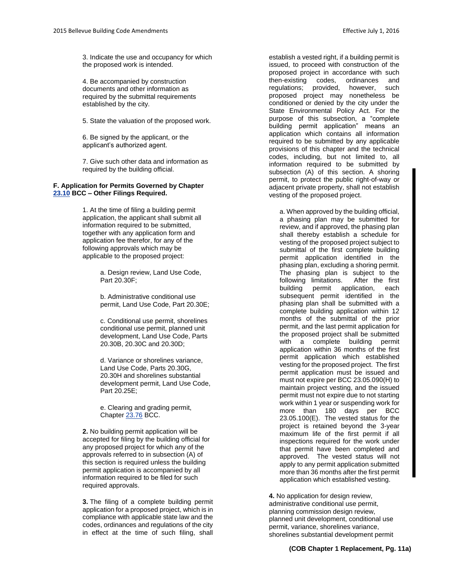3. Indicate the use and occupancy for which the proposed work is intended.

4. Be accompanied by construction documents and other information as required by the submittal requirements established by the city.

5. State the valuation of the proposed work.

6. Be signed by the applicant, or the applicant's authorized agent.

7. Give such other data and information as required by the building official.

#### **F. Application for Permits Governed by Chapter [23.10](http://www.codepublishing.com/wa/bellevue/html/Bellevue23/Bellevue2310.html#23.10) BCC – Other Filings Required.**

1. At the time of filing a building permit application, the applicant shall submit all information required to be submitted, together with any application form and application fee therefor, for any of the following approvals which may be applicable to the proposed project:

> a. Design review, Land Use Code, Part 20.30F;

b. Administrative conditional use permit, Land Use Code, Part 20.30E;

c. Conditional use permit, shorelines conditional use permit, planned unit development, Land Use Code, Parts 20.30B, 20.30C and 20.30D;

d. Variance or shorelines variance, Land Use Code, Parts 20.30G, 20.30H and shorelines substantial development permit, Land Use Code, Part 20.25E;

e. Clearing and grading permit, Chapter [23.76](http://www.codepublishing.com/wa/bellevue/html/Bellevue23/Bellevue2376.html#23.76) BCC.

**2.** No building permit application will be accepted for filing by the building official for any proposed project for which any of the approvals referred to in subsection (A) of this section is required unless the building permit application is accompanied by all information required to be filed for such required approvals.

**3.** The filing of a complete building permit application for a proposed project, which is in compliance with applicable state law and the codes, ordinances and regulations of the city in effect at the time of such filing, shall

establish a vested right, if a building permit is issued, to proceed with construction of the proposed project in accordance with such then-existing codes, ordinances and regulations; provided, however, such proposed project may nonetheless be conditioned or denied by the city under the State Environmental Policy Act. For the purpose of this subsection, a "complete building permit application" means an application which contains all information required to be submitted by any applicable provisions of this chapter and the technical codes, including, but not limited to, all information required to be submitted by subsection (A) of this section. A shoring permit, to protect the public right-of-way or adjacent private property, shall not establish vesting of the proposed project.

a. When approved by the building official, a phasing plan may be submitted for review, and if approved, the phasing plan shall thereby establish a schedule for vesting of the proposed project subject to submittal of the first complete building permit application identified in the phasing plan, excluding a shoring permit. The phasing plan is subject to the following limitations. After the first building permit application, each subsequent permit identified in the phasing plan shall be submitted with a complete building application within 12 months of the submittal of the prior permit, and the last permit application for the proposed project shall be submitted with a complete building permit application within 36 months of the first permit application which established vesting for the proposed project. The first permit application must be issued and must not expire per BCC 23.05.090(H) to maintain project vesting, and the issued permit must not expire due to not starting work within 1 year or suspending work for more than 180 days per BCC 23.05.100(E). The vested status for the project is retained beyond the 3-year maximum life of the first permit if all inspections required for the work under that permit have been completed and approved. The vested status will not apply to any permit application submitted more than 36 months after the first permit application which established vesting.

**4.** No application for design review, administrative conditional use permit, planning commission design review, planned unit development, conditional use permit, variance, shorelines variance, shorelines substantial development permit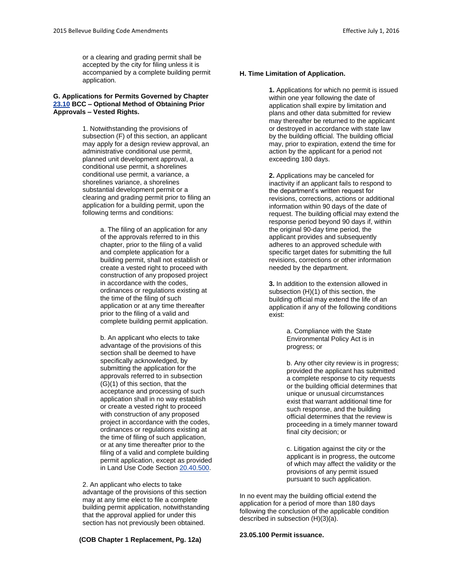or a clearing and grading permit shall be accepted by the city for filing unless it is accompanied by a complete building permit application.

#### **G. Applications for Permits Governed by Chapter [23.10](http://www.codepublishing.com/wa/bellevue/html/Bellevue23/Bellevue2310.html#23.10) BCC – Optional Method of Obtaining Prior Approvals – Vested Rights.**

1. Notwithstanding the provisions of subsection (F) of this section, an applicant may apply for a design review approval, an administrative conditional use permit, planned unit development approval, a conditional use permit, a shorelines conditional use permit, a variance, a shorelines variance, a shorelines substantial development permit or a clearing and grading permit prior to filing an application for a building permit, upon the following terms and conditions:

> a. The filing of an application for any of the approvals referred to in this chapter, prior to the filing of a valid and complete application for a building permit, shall not establish or create a vested right to proceed with construction of any proposed project in accordance with the codes, ordinances or regulations existing at the time of the filing of such application or at any time thereafter prior to the filing of a valid and complete building permit application.

b. An applicant who elects to take advantage of the provisions of this section shall be deemed to have specifically acknowledged, by submitting the application for the approvals referred to in subsection (G)(1) of this section, that the acceptance and processing of such application shall in no way establish or create a vested right to proceed with construction of any proposed project in accordance with the codes, ordinances or regulations existing at the time of filing of such application, or at any time thereafter prior to the filing of a valid and complete building permit application, except as provided in Land Use Code Sectio[n 20.40.500.](http://www.codepublishing.com/wa/bellevue/LUC/BellevueLUC2040.html#20.40.500)

2. An applicant who elects to take advantage of the provisions of this section may at any time elect to file a complete building permit application, notwithstanding that the approval applied for under this section has not previously been obtained.

**H. Time Limitation of Application.**

application shall expire by limitation and plans and other data submitted for review may thereafter be returned to the applicant or destroyed in accordance with state law by the building official. The building official may, prior to expiration, extend the time for action by the applicant for a period not exceeding 180 days.

**1.** Applications for which no permit is issued within one year following the date of

**2.** Applications may be canceled for inactivity if an applicant fails to respond to the department's written request for revisions, corrections, actions or additional information within 90 days of the date of request. The building official may extend the response period beyond 90 days if, within the original 90-day time period, the applicant provides and subsequently adheres to an approved schedule with specific target dates for submitting the full revisions, corrections or other information needed by the department.

**3.** In addition to the extension allowed in subsection (H)(1) of this section, the building official may extend the life of an application if any of the following conditions exist:

> a. Compliance with the State Environmental Policy Act is in progress; or

b. Any other city review is in progress; provided the applicant has submitted a complete response to city requests or the building official determines that unique or unusual circumstances exist that warrant additional time for such response, and the building official determines that the review is proceeding in a timely manner toward final city decision; or

c. Litigation against the city or the applicant is in progress, the outcome of which may affect the validity or the provisions of any permit issued pursuant to such application.

In no event may the building official extend the application for a period of more than 180 days following the conclusion of the applicable condition described in subsection (H)(3)(a).

# **23.05.100 Permit issuance. (COB Chapter 1 Replacement, Pg. 12a)**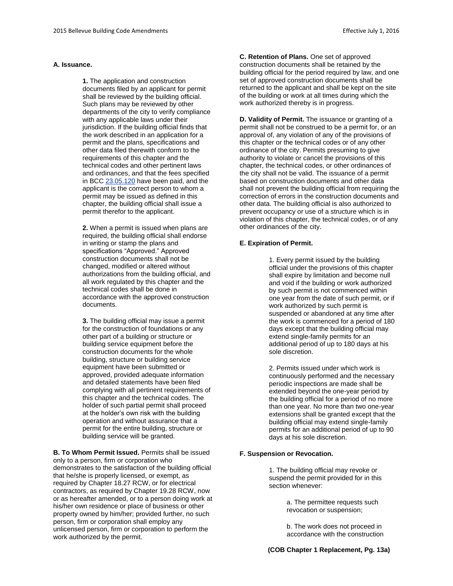#### **A. Issuance.**

**1.** The application and construction documents filed by an applicant for permit shall be reviewed by the building official. Such plans may be reviewed by other departments of the city to verify compliance with any applicable laws under their jurisdiction. If the building official finds that the work described in an application for a permit and the plans, specifications and other data filed therewith conform to the requirements of this chapter and the technical codes and other pertinent laws and ordinances, and that the fees specified in BC[C 23.05.120](http://www.codepublishing.com/wa/bellevue/html/Bellevue23/Bellevue2305.html#23.05.120) have been paid, and the applicant is the correct person to whom a permit may be issued as defined in this chapter, the building official shall issue a permit therefor to the applicant.

**2.** When a permit is issued when plans are required, the building official shall endorse in writing or stamp the plans and specifications "Approved." Approved construction documents shall not be changed, modified or altered without authorizations from the building official, and all work regulated by this chapter and the technical codes shall be done in accordance with the approved construction documents.

**3.** The building official may issue a permit for the construction of foundations or any other part of a building or structure or building service equipment before the construction documents for the whole building, structure or building service equipment have been submitted or approved, provided adequate information and detailed statements have been filed complying with all pertinent requirements of this chapter and the technical codes. The holder of such partial permit shall proceed at the holder's own risk with the building operation and without assurance that a permit for the entire building, structure or building service will be granted.

**B. To Whom Permit Issued.** Permits shall be issued only to a person, firm or corporation who demonstrates to the satisfaction of the building official that he/she is properly licensed, or exempt, as required by Chapter 18.27 RCW, or for electrical contractors, as required by Chapter 19.28 RCW, now or as hereafter amended, or to a person doing work at his/her own residence or place of business or other property owned by him/her; provided further, no such person, firm or corporation shall employ any unlicensed person, firm or corporation to perform the work authorized by the permit.

**C. Retention of Plans.** One set of approved construction documents shall be retained by the building official for the period required by law, and one set of approved construction documents shall be returned to the applicant and shall be kept on the site of the building or work at all times during which the work authorized thereby is in progress.

**D. Validity of Permit.** The issuance or granting of a permit shall not be construed to be a permit for, or an approval of, any violation of any of the provisions of this chapter or the technical codes or of any other ordinance of the city. Permits presuming to give authority to violate or cancel the provisions of this chapter, the technical codes, or other ordinances of the city shall not be valid. The issuance of a permit based on construction documents and other data shall not prevent the building official from requiring the correction of errors in the construction documents and other data. The building official is also authorized to prevent occupancy or use of a structure which is in violation of this chapter, the technical codes, or of any other ordinances of the city.

#### **E. Expiration of Permit.**

1. Every permit issued by the building official under the provisions of this chapter shall expire by limitation and become null and void if the building or work authorized by such permit is not commenced within one year from the date of such permit, or if work authorized by such permit is suspended or abandoned at any time after the work is commenced for a period of 180 days except that the building official may extend single-family permits for an additional period of up to 180 days at his sole discretion.

2. Permits issued under which work is continuously performed and the necessary periodic inspections are made shall be extended beyond the one-year period by the building official for a period of no more than one year. No more than two one-year extensions shall be granted except that the building official may extend single-family permits for an additional period of up to 90 days at his sole discretion.

#### **F. Suspension or Revocation.**

1. The building official may revoke or suspend the permit provided for in this section whenever:

> a. The permittee requests such revocation or suspension;

b. The work does not proceed in accordance with the construction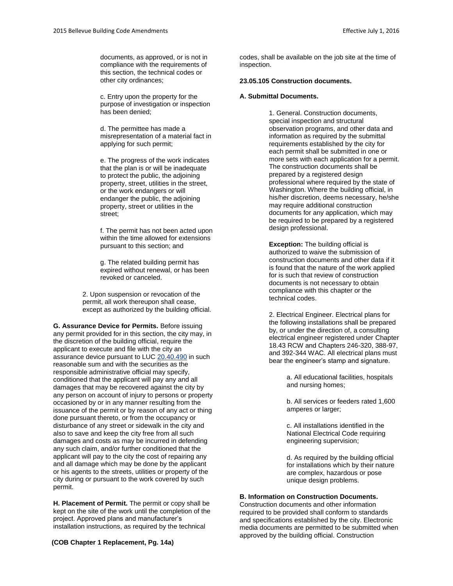documents, as approved, or is not in compliance with the requirements of this section, the technical codes or other city ordinances;

c. Entry upon the property for the purpose of investigation or inspection has been denied;

d. The permittee has made a misrepresentation of a material fact in applying for such permit;

e. The progress of the work indicates that the plan is or will be inadequate to protect the public, the adjoining property, street, utilities in the street, or the work endangers or will endanger the public, the adjoining property, street or utilities in the street;

f. The permit has not been acted upon within the time allowed for extensions pursuant to this section; and

g. The related building permit has expired without renewal, or has been revoked or canceled.

2. Upon suspension or revocation of the permit, all work thereupon shall cease, except as authorized by the building official.

**G. Assurance Device for Permits.** Before issuing any permit provided for in this section, the city may, in the discretion of the building official, require the applicant to execute and file with the city an assurance device pursuant to LU[C 20.40.490](http://www.codepublishing.com/wa/bellevue/LUC/BellevueLUC2040.html#20.40.490) in such reasonable sum and with the securities as the responsible administrative official may specify, conditioned that the applicant will pay any and all damages that may be recovered against the city by any person on account of injury to persons or property occasioned by or in any manner resulting from the issuance of the permit or by reason of any act or thing done pursuant thereto, or from the occupancy or disturbance of any street or sidewalk in the city and also to save and keep the city free from all such damages and costs as may be incurred in defending any such claim, and/or further conditioned that the applicant will pay to the city the cost of repairing any and all damage which may be done by the applicant or his agents to the streets, utilities or property of the city during or pursuant to the work covered by such permit.

**H. Placement of Permit.** The permit or copy shall be kept on the site of the work until the completion of the project. Approved plans and manufacturer's installation instructions, as required by the technical

**(COB Chapter 1 Replacement, Pg. 14a)**

codes, shall be available on the job site at the time of inspection.

#### **23.05.105 Construction documents.**

#### **A. Submittal Documents.**

1. General. Construction documents, special inspection and structural observation programs, and other data and information as required by the submittal requirements established by the city for each permit shall be submitted in one or more sets with each application for a permit. The construction documents shall be prepared by a registered design professional where required by the state of Washington. Where the building official, in his/her discretion, deems necessary, he/she may require additional construction documents for any application, which may be required to be prepared by a registered design professional.

**Exception:** The building official is authorized to waive the submission of construction documents and other data if it is found that the nature of the work applied for is such that review of construction documents is not necessary to obtain compliance with this chapter or the technical codes.

2. Electrical Engineer. Electrical plans for the following installations shall be prepared by, or under the direction of, a consulting electrical engineer registered under Chapter 18.43 RCW and Chapters 246-320, 388-97, and 392-344 WAC. All electrical plans must bear the engineer's stamp and signature.

> a. All educational facilities, hospitals and nursing homes;

b. All services or feeders rated 1,600 amperes or larger;

c. All installations identified in the National Electrical Code requiring engineering supervision;

d. As required by the building official for installations which by their nature are complex, hazardous or pose unique design problems.

#### **B. Information on Construction Documents.**

Construction documents and other information required to be provided shall conform to standards and specifications established by the city. Electronic media documents are permitted to be submitted when approved by the building official. Construction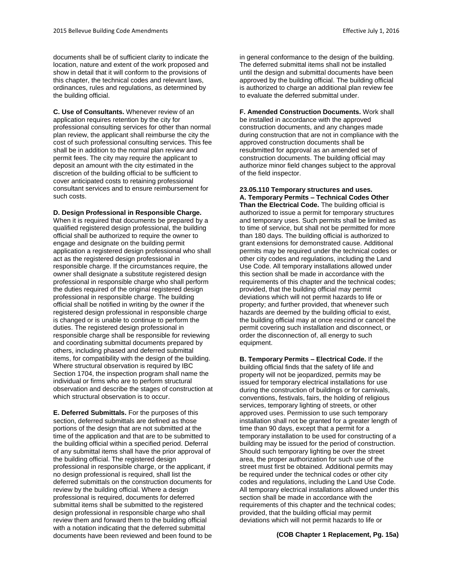documents shall be of sufficient clarity to indicate the location, nature and extent of the work proposed and show in detail that it will conform to the provisions of this chapter, the technical codes and relevant laws, ordinances, rules and regulations, as determined by the building official.

**C. Use of Consultants.** Whenever review of an application requires retention by the city for professional consulting services for other than normal plan review, the applicant shall reimburse the city the cost of such professional consulting services. This fee shall be in addition to the normal plan review and permit fees. The city may require the applicant to deposit an amount with the city estimated in the discretion of the building official to be sufficient to cover anticipated costs to retaining professional consultant services and to ensure reimbursement for such costs.

**D. Design Professional in Responsible Charge.**

When it is required that documents be prepared by a qualified registered design professional, the building official shall be authorized to require the owner to engage and designate on the building permit application a registered design professional who shall act as the registered design professional in responsible charge. If the circumstances require, the owner shall designate a substitute registered design professional in responsible charge who shall perform the duties required of the original registered design professional in responsible charge. The building official shall be notified in writing by the owner if the registered design professional in responsible charge is changed or is unable to continue to perform the duties. The registered design professional in responsible charge shall be responsible for reviewing and coordinating submittal documents prepared by others, including phased and deferred submittal items, for compatibility with the design of the building. Where structural observation is required by IBC Section 1704, the inspection program shall name the individual or firms who are to perform structural observation and describe the stages of construction at which structural observation is to occur.

**E. Deferred Submittals.** For the purposes of this section, deferred submittals are defined as those portions of the design that are not submitted at the time of the application and that are to be submitted to the building official within a specified period. Deferral of any submittal items shall have the prior approval of the building official. The registered design professional in responsible charge, or the applicant, if no design professional is required, shall list the deferred submittals on the construction documents for review by the building official. Where a design professional is required, documents for deferred submittal items shall be submitted to the registered design professional in responsible charge who shall review them and forward them to the building official with a notation indicating that the deferred submittal documents have been reviewed and been found to be in general conformance to the design of the building. The deferred submittal items shall not be installed until the design and submittal documents have been approved by the building official. The building official is authorized to charge an additional plan review fee to evaluate the deferred submittal under.

**F. Amended Construction Documents.** Work shall be installed in accordance with the approved construction documents, and any changes made during construction that are not in compliance with the approved construction documents shall be resubmitted for approval as an amended set of construction documents. The building official may authorize minor field changes subject to the approval of the field inspector.

#### **23.05.110 Temporary structures and uses. A. Temporary Permits – Technical Codes Other**

**Than the Electrical Code.** The building official is authorized to issue a permit for temporary structures and temporary uses. Such permits shall be limited as to time of service, but shall not be permitted for more than 180 days. The building official is authorized to grant extensions for demonstrated cause. Additional permits may be required under the technical codes or other city codes and regulations, including the Land Use Code. All temporary installations allowed under this section shall be made in accordance with the requirements of this chapter and the technical codes; provided, that the building official may permit deviations which will not permit hazards to life or property; and further provided, that whenever such hazards are deemed by the building official to exist, the building official may at once rescind or cancel the permit covering such installation and disconnect, or order the disconnection of, all energy to such equipment.

**B. Temporary Permits – Electrical Code.** If the building official finds that the safety of life and property will not be jeopardized, permits may be issued for temporary electrical installations for use during the construction of buildings or for carnivals, conventions, festivals, fairs, the holding of religious services, temporary lighting of streets, or other approved uses. Permission to use such temporary installation shall not be granted for a greater length of time than 90 days, except that a permit for a temporary installation to be used for constructing of a building may be issued for the period of construction. Should such temporary lighting be over the street area, the proper authorization for such use of the street must first be obtained. Additional permits may be required under the technical codes or other city codes and regulations, including the Land Use Code. All temporary electrical installations allowed under this section shall be made in accordance with the requirements of this chapter and the technical codes; provided, that the building official may permit deviations which will not permit hazards to life or

**(COB Chapter 1 Replacement, Pg. 15a)**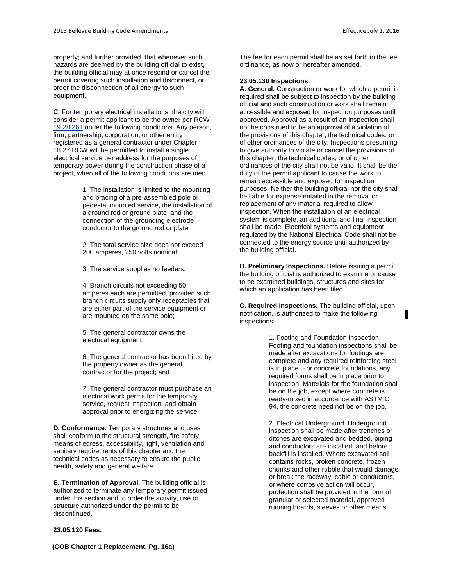property; and further provided, that whenever such hazards are deemed by the building official to exist, the building official may at once rescind or cancel the permit covering such installation and disconnect, or order the disconnection of all energy to such equipment.

**C.** For temporary electrical installations, the city will consider a permit applicant to be the owner per RCW [19.28.261](http://www.codepublishing.com/cgi-bin/rcw.pl?cite=19.28.261) under the following conditions. Any person, firm, partnership, corporation, or other entity registered as a general contractor under Chapter [18.27](http://www.codepublishing.com/cgi-bin/rcw.pl?cite=18.27) RCW will be permitted to install a single electrical service per address for the purposes of temporary power during the construction phase of a project, when all of the following conditions are met:

> 1. The installation is limited to the mounting and bracing of a pre-assembled pole or pedestal mounted service, the installation of a ground rod or ground plate, and the connection of the grounding electrode conductor to the ground rod or plate;

2. The total service size does not exceed 200 amperes, 250 volts nominal;

3. The service supplies no feeders;

4. Branch circuits not exceeding 50 amperes each are permitted, provided such branch circuits supply only receptacles that are either part of the service equipment or are mounted on the same pole;

5. The general contractor owns the electrical equipment;

6. The general contractor has been hired by the property owner as the general contractor for the project; and

7. The general contractor must purchase an electrical work permit for the temporary service, request inspection, and obtain approval prior to energizing the service.

**D. Conformance.** Temporary structures and uses shall conform to the structural strength, fire safety, means of egress, accessibility, light, ventilation and sanitary requirements of this chapter and the technical codes as necessary to ensure the public health, safety and general welfare.

**E. Termination of Approval.** The building official is authorized to terminate any temporary permit issued under this section and to order the activity, use or structure authorized under the permit to be discontinued.

**23.05.120 Fees.** 

The fee for each permit shall be as set forth in the fee ordinance, as now or hereafter amended.

### **23.05.130 Inspections.**

**A. General.** Construction or work for which a permit is required shall be subject to inspection by the building official and such construction or work shall remain accessible and exposed for inspection purposes until approved. Approval as a result of an inspection shall not be construed to be an approval of a violation of the provisions of this chapter, the technical codes, or of other ordinances of the city. Inspections presuming to give authority to violate or cancel the provisions of this chapter, the technical codes, or of other ordinances of the city shall not be valid. It shall be the duty of the permit applicant to cause the work to remain accessible and exposed for inspection purposes. Neither the building official nor the city shall be liable for expense entailed in the removal or replacement of any material required to allow inspection. When the installation of an electrical system is complete, an additional and final inspection shall be made. Electrical systems and equipment regulated by the National Electrical Code shall not be connected to the energy source until authorized by the building official.

**B. Preliminary Inspections.** Before issuing a permit, the building official is authorized to examine or cause to be examined buildings, structures and sites for which an application has been filed.

**C. Required Inspections.** The building official, upon notification, is authorized to make the following inspections:

> 1. Footing and Foundation Inspection. Footing and foundation inspections shall be made after excavations for footings are complete and any required reinforcing steel is in place. For concrete foundations, any required forms shall be in place prior to inspection. Materials for the foundation shall be on the job, except where concrete is ready-mixed in accordance with ASTM C 94, the concrete need not be on the job.

> 2. Electrical Underground. Underground inspection shall be made after trenches or ditches are excavated and bedded, piping and conductors are installed, and before backfill is installed. Where excavated soil contains rocks, broken concrete, frozen chunks and other rubble that would damage or break the raceway, cable or conductors, or where corrosive action will occur, protection shall be provided in the form of granular or selected material, approved running boards, sleeves or other means.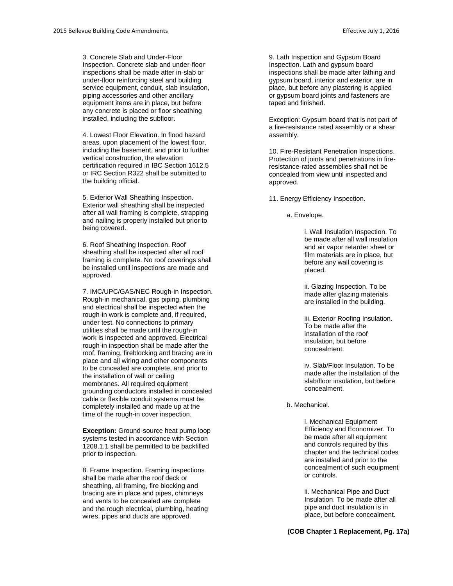3. Concrete Slab and Under-Floor Inspection. Concrete slab and under-floor inspections shall be made after in-slab or under-floor reinforcing steel and building service equipment, conduit, slab insulation, piping accessories and other ancillary equipment items are in place, but before any concrete is placed or floor sheathing installed, including the subfloor.

4. Lowest Floor Elevation. In flood hazard areas, upon placement of the lowest floor, including the basement, and prior to further vertical construction, the elevation certification required in IBC Section 1612.5 or IRC Section R322 shall be submitted to the building official.

5. Exterior Wall Sheathing Inspection. Exterior wall sheathing shall be inspected after all wall framing is complete, strapping and nailing is properly installed but prior to being covered.

6. Roof Sheathing Inspection. Roof sheathing shall be inspected after all roof framing is complete. No roof coverings shall be installed until inspections are made and approved.

7. IMC/UPC/GAS/NEC Rough-in Inspection. Rough-in mechanical, gas piping, plumbing and electrical shall be inspected when the rough-in work is complete and, if required, under test. No connections to primary utilities shall be made until the rough-in work is inspected and approved. Electrical rough-in inspection shall be made after the roof, framing, fireblocking and bracing are in place and all wiring and other components to be concealed are complete, and prior to the installation of wall or ceiling membranes. All required equipment grounding conductors installed in concealed cable or flexible conduit systems must be completely installed and made up at the time of the rough-in cover inspection.

**Exception:** Ground-source heat pump loop systems tested in accordance with Section 1208.1.1 shall be permitted to be backfilled prior to inspection.

8. Frame Inspection. Framing inspections shall be made after the roof deck or sheathing, all framing, fire blocking and bracing are in place and pipes, chimneys and vents to be concealed are complete and the rough electrical, plumbing, heating wires, pipes and ducts are approved.

9. Lath Inspection and Gypsum Board Inspection. Lath and gypsum board inspections shall be made after lathing and gypsum board, interior and exterior, are in place, but before any plastering is applied or gypsum board joints and fasteners are taped and finished.

Exception: Gypsum board that is not part of a fire-resistance rated assembly or a shear assembly.

10. Fire-Resistant Penetration Inspections. Protection of joints and penetrations in fireresistance-rated assemblies shall not be concealed from view until inspected and approved.

11. Energy Efficiency Inspection.

a. Envelope.

i. Wall Insulation Inspection. To be made after all wall insulation and air vapor retarder sheet or film materials are in place, but before any wall covering is placed.

ii. Glazing Inspection. To be made after glazing materials are installed in the building.

iii. Exterior Roofing Insulation. To be made after the installation of the roof insulation, but before concealment.

iv. Slab/Floor Insulation. To be made after the installation of the slab/floor insulation, but before concealment.

b. Mechanical.

i. Mechanical Equipment Efficiency and Economizer. To be made after all equipment and controls required by this chapter and the technical codes are installed and prior to the concealment of such equipment or controls.

ii. Mechanical Pipe and Duct Insulation. To be made after all pipe and duct insulation is in place, but before concealment.

**(COB Chapter 1 Replacement, Pg. 17a)**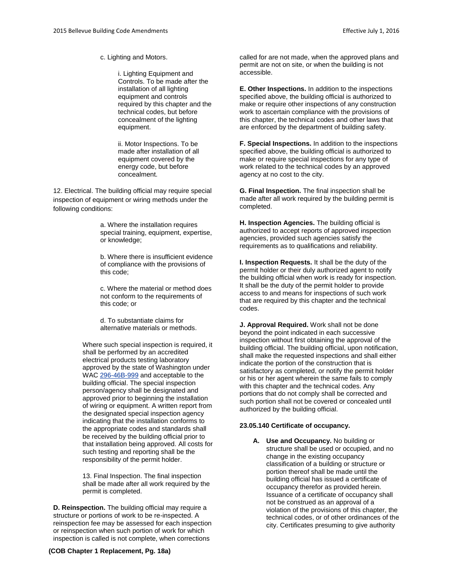c. Lighting and Motors.

i. Lighting Equipment and Controls. To be made after the installation of all lighting equipment and controls required by this chapter and the technical codes, but before concealment of the lighting equipment.

ii. Motor Inspections. To be made after installation of all equipment covered by the energy code, but before concealment.

12. Electrical. The building official may require special inspection of equipment or wiring methods under the following conditions:

> a. Where the installation requires special training, equipment, expertise, or knowledge;

> b. Where there is insufficient evidence of compliance with the provisions of this code;

> c. Where the material or method does not conform to the requirements of this code; or

d. To substantiate claims for alternative materials or methods.

Where such special inspection is required, it shall be performed by an accredited electrical products testing laboratory approved by the state of Washington under WAC [296-46B-999](http://www.codepublishing.com/cgi-bin/wac.pl?cite=296-46B-999) and acceptable to the building official. The special inspection person/agency shall be designated and approved prior to beginning the installation of wiring or equipment. A written report from the designated special inspection agency indicating that the installation conforms to the appropriate codes and standards shall be received by the building official prior to that installation being approved. All costs for such testing and reporting shall be the responsibility of the permit holder.

13. Final Inspection. The final inspection shall be made after all work required by the permit is completed.

**D. Reinspection.** The building official may require a structure or portions of work to be re-inspected. A reinspection fee may be assessed for each inspection or reinspection when such portion of work for which inspection is called is not complete, when corrections

called for are not made, when the approved plans and permit are not on site, or when the building is not accessible.

**E. Other Inspections.** In addition to the inspections specified above, the building official is authorized to make or require other inspections of any construction work to ascertain compliance with the provisions of this chapter, the technical codes and other laws that are enforced by the department of building safety.

**F. Special Inspections.** In addition to the inspections specified above, the building official is authorized to make or require special inspections for any type of work related to the technical codes by an approved agency at no cost to the city.

**G. Final Inspection.** The final inspection shall be made after all work required by the building permit is completed.

**H. Inspection Agencies.** The building official is authorized to accept reports of approved inspection agencies, provided such agencies satisfy the requirements as to qualifications and reliability.

**I. Inspection Requests.** It shall be the duty of the permit holder or their duly authorized agent to notify the building official when work is ready for inspection. It shall be the duty of the permit holder to provide access to and means for inspections of such work that are required by this chapter and the technical codes.

**J. Approval Required.** Work shall not be done beyond the point indicated in each successive inspection without first obtaining the approval of the building official. The building official, upon notification, shall make the requested inspections and shall either indicate the portion of the construction that is satisfactory as completed, or notify the permit holder or his or her agent wherein the same fails to comply with this chapter and the technical codes. Any portions that do not comply shall be corrected and such portion shall not be covered or concealed until authorized by the building official.

#### **23.05.140 Certificate of occupancy.**

**A. Use and Occupancy.** No building or structure shall be used or occupied, and no change in the existing occupancy classification of a building or structure or portion thereof shall be made until the building official has issued a certificate of occupancy therefor as provided herein. Issuance of a certificate of occupancy shall not be construed as an approval of a violation of the provisions of this chapter, the technical codes, or of other ordinances of the city. Certificates presuming to give authority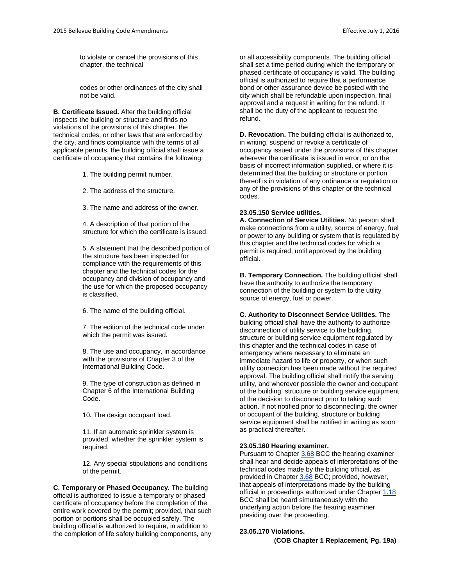to violate or cancel the provisions of this chapter, the technical

codes or other ordinances of the city shall not be valid.

**B. Certificate Issued.** After the building official inspects the building or structure and finds no violations of the provisions of this chapter, the technical codes, or other laws that are enforced by the city, and finds compliance with the terms of all applicable permits, the building official shall issue a certificate of occupancy that contains the following:

1. The building permit number.

2. The address of the structure.

3. The name and address of the owner.

4. A description of that portion of the structure for which the certificate is issued.

5. A statement that the described portion of the structure has been inspected for compliance with the requirements of this chapter and the technical codes for the occupancy and division of occupancy and the use for which the proposed occupancy is classified.

6. The name of the building official.

7. The edition of the technical code under which the permit was issued.

8. The use and occupancy, in accordance with the provisions of Chapter 3 of the International Building Code.

9. The type of construction as defined in Chapter 6 of the International Building Code.

10**.** The design occupant load.

11. If an automatic sprinkler system is provided, whether the sprinkler system is required.

12. Any special stipulations and conditions of the permit.

**C. Temporary or Phased Occupancy.** The building official is authorized to issue a temporary or phased certificate of occupancy before the completion of the entire work covered by the permit; provided, that such portion or portions shall be occupied safely. The building official is authorized to require, in addition to the completion of life safety building components, any

or all accessibility components. The building official shall set a time period during which the temporary or phased certificate of occupancy is valid. The building official is authorized to require that a performance bond or other assurance device be posted with the city which shall be refundable upon inspection, final approval and a request in writing for the refund. It shall be the duty of the applicant to request the refund.

**D. Revocation.** The building official is authorized to, in writing, suspend or revoke a certificate of occupancy issued under the provisions of this chapter wherever the certificate is issued in error, or on the basis of incorrect information supplied, or where it is determined that the building or structure or portion thereof is in violation of any ordinance or regulation or any of the provisions of this chapter or the technical codes.

#### **23.05.150 Service utilities.**

**A. Connection of Service Utilities.** No person shall make connections from a utility, source of energy, fuel or power to any building or system that is regulated by this chapter and the technical codes for which a permit is required, until approved by the building official.

**B. Temporary Connection.** The building official shall have the authority to authorize the temporary connection of the building or system to the utility source of energy, fuel or power.

**C. Authority to Disconnect Service Utilities.** The building official shall have the authority to authorize disconnection of utility service to the building, structure or building service equipment regulated by this chapter and the technical codes in case of emergency where necessary to eliminate an immediate hazard to life or property, or when such utility connection has been made without the required approval. The building official shall notify the serving utility, and wherever possible the owner and occupant of the building, structure or building service equipment of the decision to disconnect prior to taking such action. If not notified prior to disconnecting, the owner or occupant of the building, structure or building service equipment shall be notified in writing as soon as practical thereafter.

#### **23.05.160 Hearing examiner.**

Pursuant to Chapter [3.68](http://www.codepublishing.com/wa/bellevue/html/Bellevue03/Bellevue0368.html#3.68) BCC the hearing examiner shall hear and decide appeals of interpretations of the technical codes made by the building official, as provided in Chapter [3.68](http://www.codepublishing.com/wa/bellevue/html/Bellevue03/Bellevue0368.html#3.68) BCC; provided, however, that appeals of interpretations made by the building official in proceedings authorized under Chapte[r 1.18](http://www.codepublishing.com/wa/bellevue/html/Bellevue01/Bellevue0118.html#1.18) BCC shall be heard simultaneously with the underlying action before the hearing examiner presiding over the proceeding.

#### **23.05.170 Violations.**

**(COB Chapter 1 Replacement, Pg. 19a)**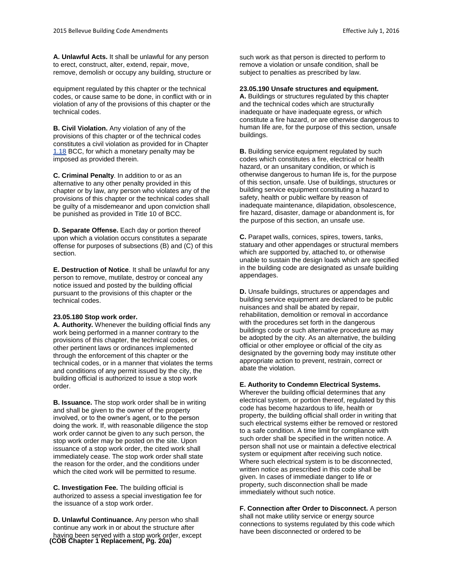**A. Unlawful Acts.** It shall be unlawful for any person to erect, construct, alter, extend, repair, move, remove, demolish or occupy any building, structure or

equipment regulated by this chapter or the technical codes, or cause same to be done, in conflict with or in violation of any of the provisions of this chapter or the technical codes.

**B. Civil Violation.** Any violation of any of the provisions of this chapter or of the technical codes constitutes a civil violation as provided for in Chapter [1.18](http://www.codepublishing.com/wa/bellevue/html/Bellevue01/Bellevue0118.html#1.18) BCC, for which a monetary penalty may be imposed as provided therein.

**C. Criminal Penalty**. In addition to or as an alternative to any other penalty provided in this chapter or by law, any person who violates any of the provisions of this chapter or the technical codes shall be guilty of a misdemeanor and upon conviction shall be punished as provided in Title 10 of BCC.

**D. Separate Offense.** Each day or portion thereof upon which a violation occurs constitutes a separate offense for purposes of subsections (B) and (C) of this section.

**E. Destruction of Notice**. It shall be unlawful for any person to remove, mutilate, destroy or conceal any notice issued and posted by the building official pursuant to the provisions of this chapter or the technical codes.

#### **23.05.180 Stop work order.**

**A. Authority.** Whenever the building official finds any work being performed in a manner contrary to the provisions of this chapter, the technical codes, or other pertinent laws or ordinances implemented through the enforcement of this chapter or the technical codes, or in a manner that violates the terms and conditions of any permit issued by the city, the building official is authorized to issue a stop work order.

**B. Issuance.** The stop work order shall be in writing and shall be given to the owner of the property involved, or to the owner's agent, or to the person doing the work. If, with reasonable diligence the stop work order cannot be given to any such person, the stop work order may be posted on the site. Upon issuance of a stop work order, the cited work shall immediately cease. The stop work order shall state the reason for the order, and the conditions under which the cited work will be permitted to resume.

**C. Investigation Fee.** The building official is authorized to assess a special investigation fee for the issuance of a stop work order.

**D. Unlawful Continuance.** Any person who shall continue any work in or about the structure after having been served with a stop work order, except **(COB Chapter 1 Replacement, Pg. 20a)** such work as that person is directed to perform to remove a violation or unsafe condition, shall be subject to penalties as prescribed by law.

#### **23.05.190 Unsafe structures and equipment.**

**A.** Buildings or structures regulated by this chapter and the technical codes which are structurally inadequate or have inadequate egress, or which constitute a fire hazard, or are otherwise dangerous to human life are, for the purpose of this section, unsafe buildings.

**B.** Building service equipment regulated by such codes which constitutes a fire, electrical or health hazard, or an unsanitary condition, or which is otherwise dangerous to human life is, for the purpose of this section, unsafe. Use of buildings, structures or building service equipment constituting a hazard to safety, health or public welfare by reason of inadequate maintenance, dilapidation, obsolescence, fire hazard, disaster, damage or abandonment is, for the purpose of this section, an unsafe use.

**C.** Parapet walls, cornices, spires, towers, tanks, statuary and other appendages or structural members which are supported by, attached to, or otherwise unable to sustain the design loads which are specified in the building code are designated as unsafe building appendages.

**D.** Unsafe buildings, structures or appendages and building service equipment are declared to be public nuisances and shall be abated by repair, rehabilitation, demolition or removal in accordance with the procedures set forth in the dangerous buildings code or such alternative procedure as may be adopted by the city. As an alternative, the building official or other employee or official of the city as designated by the governing body may institute other appropriate action to prevent, restrain, correct or abate the violation.

#### **E. Authority to Condemn Electrical Systems.**

Wherever the building official determines that any electrical system, or portion thereof, regulated by this code has become hazardous to life, health or property, the building official shall order in writing that such electrical systems either be removed or restored to a safe condition. A time limit for compliance with such order shall be specified in the written notice. A person shall not use or maintain a defective electrical system or equipment after receiving such notice. Where such electrical system is to be disconnected, written notice as prescribed in this code shall be given. In cases of immediate danger to life or property, such disconnection shall be made immediately without such notice.

**F. Connection after Order to Disconnect.** A person shall not make utility service or energy source connections to systems regulated by this code which have been disconnected or ordered to be